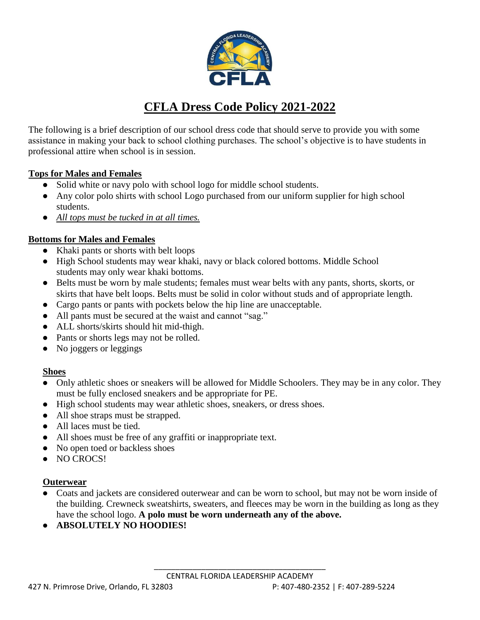

# **CFLA Dress Code Policy 2021-2022**

The following is a brief description of our school dress code that should serve to provide you with some assistance in making your back to school clothing purchases. The school's objective is to have students in professional attire when school is in session.

#### **Tops for Males and Females**

- Solid white or navy polo with school logo for middle school students.
- Any color polo shirts with school Logo purchased from our uniform supplier for high school students.
- *All tops must be tucked in at all times.*

### **Bottoms for Males and Females**

- Khaki pants or shorts with belt loops
- High School students may wear khaki, navy or black colored bottoms. Middle School students may only wear khaki bottoms.
- Belts must be worn by male students; females must wear belts with any pants, shorts, skorts, or skirts that have belt loops. Belts must be solid in color without studs and of appropriate length.
- Cargo pants or pants with pockets below the hip line are unacceptable.
- All pants must be secured at the waist and cannot "sag."
- ALL shorts/skirts should hit mid-thigh.
- Pants or shorts legs may not be rolled.
- No joggers or leggings

#### **Shoes**

- Only athletic shoes or sneakers will be allowed for Middle Schoolers. They may be in any color. They must be fully enclosed sneakers and be appropriate for PE.
- High school students may wear athletic shoes, sneakers, or dress shoes.
- All shoe straps must be strapped.
- All laces must be tied.
- All shoes must be free of any graffiti or inappropriate text.
- No open toed or backless shoes
- NO CROCS!

#### **Outerwear**

- Coats and jackets are considered outerwear and can be worn to school, but may not be worn inside of the building. Crewneck sweatshirts, sweaters, and fleeces may be worn in the building as long as they have the school logo. **A polo must be worn underneath any of the above.**
- **ABSOLUTELY NO HOODIES!**